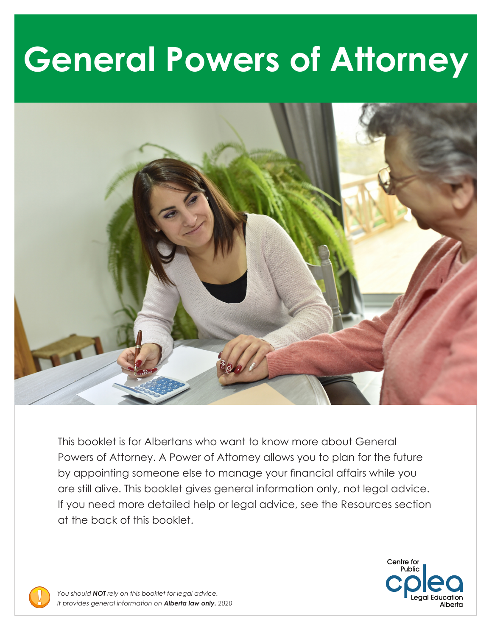# **General Powers of Attorney**



This booklet is for Albertans who want to know more about General Powers of Attorney. A Power of Attorney allows you to plan for the future by appointing someone else to manage your financial affairs while you are still alive. This booklet gives general information only, not legal advice. If you need more detailed help or legal advice, see the Resources section at the back of this booklet.

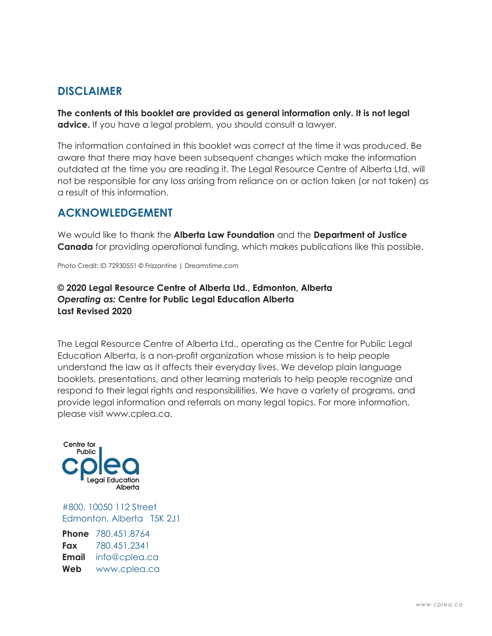### **DISCLAIMER**

**The contents of this booklet are provided as general information only. It is not legal advice.** If you have a legal problem, you should consult a lawyer.

The information contained in this booklet was correct at the time it was produced. Be aware that there may have been subsequent changes which make the information outdated at the time you are reading it. The Legal Resource Centre of Alberta Ltd. will not be responsible for any loss arising from reliance on or action taken (or not taken) as a result of this information.

### **ACKNOWLEDGEMENT**

We would like to thank the **Alberta Law Foundation** and the **Department of Justice Canada** for providing operational funding, which makes publications like this possible.

Photo Credit: ID 72930551 © Frizzantine | Dreamstime.com

#### **© 2020 Legal Resource Centre of Alberta Ltd., Edmonton, Alberta**  *Operating as:* **Centre for Public Legal Education Alberta Last Revised 2020**

The Legal Resource Centre of Alberta Ltd., operating as the Centre for Public Legal Education Alberta, is a non-profit organization whose mission is to help people understand the law as it affects their everyday lives. We develop plain language booklets, presentations, and other learning materials to help people recognize and respond to their legal rights and responsibilities. We have a variety of programs, and provide legal information and referrals on many legal topics. For more information, please visit <www.cplea.ca>.



#800, 10050 112 Street Edmonton, Alberta T5K 2J1

**Phone** 780.451.8764 **Fax** 780.451.2341 **Email** [info@cplea.ca](mailto:info@cplea.ca) **Web** <www.cplea.ca>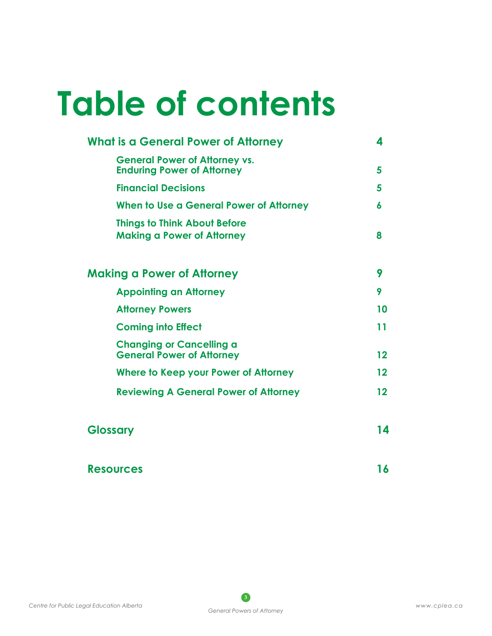# **Table of contents**

| <b>What is a General Power of Attorney</b>                                | 4       |
|---------------------------------------------------------------------------|---------|
| <b>General Power of Attorney vs.</b><br><b>Enduring Power of Attorney</b> | 5       |
| <b>Financial Decisions</b>                                                | 5       |
| When to Use a General Power of Attorney                                   | 6       |
| <b>Things to Think About Before</b><br><b>Making a Power of Attorney</b>  | 8       |
| <b>Making a Power of Attorney</b>                                         | 9       |
| <b>Appointing an Attorney</b>                                             | 9       |
| <b>Attorney Powers</b>                                                    | 10      |
| <b>Coming into Effect</b>                                                 | 11      |
| <b>Changing or Cancelling a</b><br><b>General Power of Attorney</b>       | 12      |
| Where to Keep your Power of Attorney                                      | $12 \,$ |
| <b>Reviewing A General Power of Attorney</b>                              | $12 \,$ |
| <b>Glossary</b>                                                           | 14      |
| <b>Resources</b>                                                          | 16      |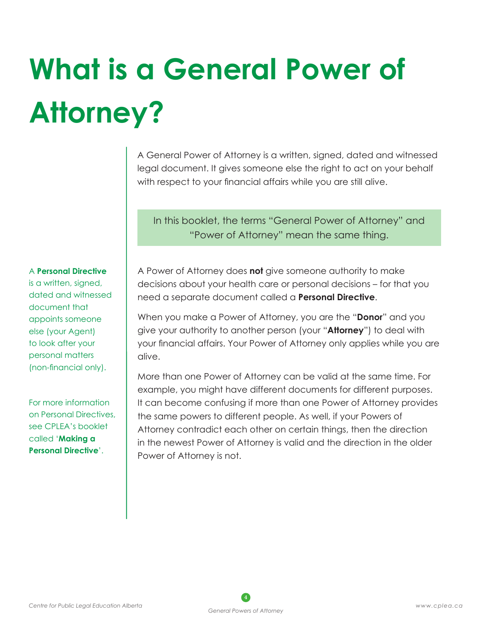# **What is a General Power of Attorney?**

A General Power of Attorney is a written, signed, dated and witnessed legal document. It gives someone else the right to act on your behalf with respect to your financial affairs while you are still alive.

In this booklet, the terms "General Power of Attorney" and "Power of Attorney" mean the same thing.

#### A **Personal Directive**

is a written, signed, dated and witnessed document that appoints someone else (your Agent) to look after your personal matters (non-financial only).

For more information on Personal Directives, see CPLEA's booklet called '**Making a Personal Directive**'.

A Power of Attorney does **not** give someone authority to make decisions about your health care or personal decisions – for that you need a separate document called a **Personal Directive**.

When you make a Power of Attorney, you are the "**Donor**" and you give your authority to another person (your "**Attorney**") to deal with your financial affairs. Your Power of Attorney only applies while you are alive.

More than one Power of Attorney can be valid at the same time. For example, you might have different documents for different purposes. It can become confusing if more than one Power of Attorney provides the same powers to different people. As well, if your Powers of Attorney contradict each other on certain things, then the direction in the newest Power of Attorney is valid and the direction in the older Power of Attorney is not.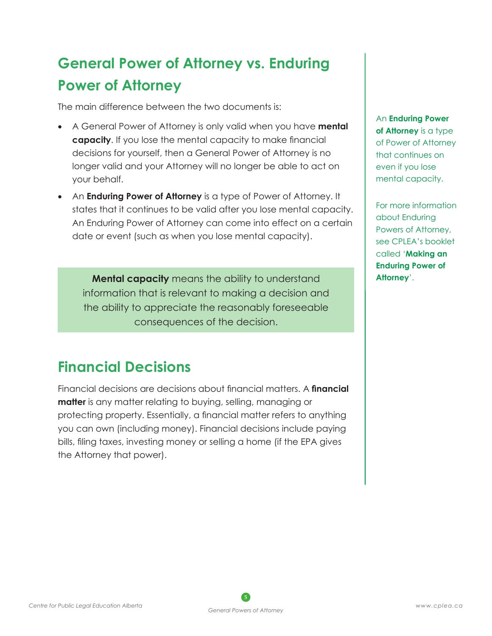## **General Power of Attorney vs. Enduring Power of Attorney**

The main difference between the two documents is:

- • A General Power of Attorney is only valid when you have **mental capacity**. If you lose the mental capacity to make financial decisions for yourself, then a General Power of Attorney is no longer valid and your Attorney will no longer be able to act on your behalf.
- An **Enduring Power of Attorney** is a type of Power of Attorney. It states that it continues to be valid after you lose mental capacity. An Enduring Power of Attorney can come into effect on a certain date or event (such as when you lose mental capacity).

**Mental capacity** means the ability to understand information that is relevant to making a decision and the ability to appreciate the reasonably foreseeable consequences of the decision.

## **Financial Decisions**

Financial decisions are decisions about financial matters. A **financial matter** is any matter relating to buying, selling, managing or protecting property. Essentially, a financial matter refers to anything you can own (including money). Financial decisions include paying bills, filing taxes, investing money or selling a home (if the EPA gives the Attorney that power).

An **Enduring Power of Attorney** is a type of Power of Attorney that continues on even if you lose mental capacity.

For more information about Enduring Powers of Attorney, see CPLEA's booklet called '**Making an Enduring Power of Attorney**'.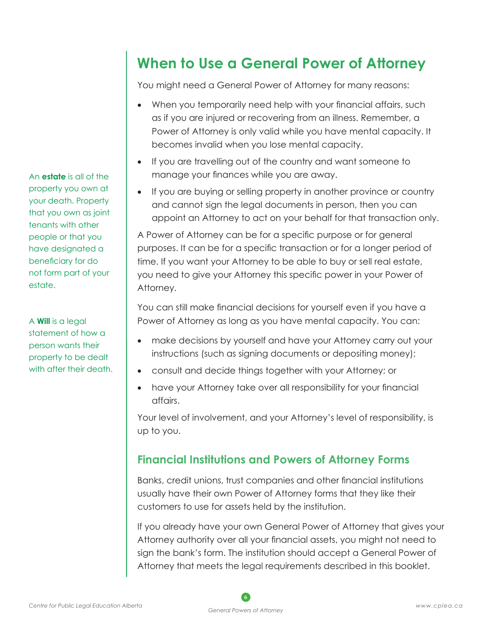An **estate** is all of the property you own at your death. Property that you own as joint tenants with other people or that you have designated a beneficiary for do not form part of your estate.

A **Will** is a legal statement of how a person wants their property to be dealt with after their death.

## **When to Use a General Power of Attorney**

You might need a General Power of Attorney for many reasons:

- When you temporarily need help with your financial affairs, such as if you are injured or recovering from an illness. Remember, a Power of Attorney is only valid while you have mental capacity. It becomes invalid when you lose mental capacity.
- If you are travelling out of the country and want someone to manage your finances while you are away.
- If you are buying or selling property in another province or country and cannot sign the legal documents in person, then you can appoint an Attorney to act on your behalf for that transaction only.

A Power of Attorney can be for a specific purpose or for general purposes. It can be for a specific transaction or for a longer period of time. If you want your Attorney to be able to buy or sell real estate, you need to give your Attorney this specific power in your Power of Attorney.

You can still make financial decisions for yourself even if you have a Power of Attorney as long as you have mental capacity. You can:

- make decisions by yourself and have your Attorney carry out your instructions (such as signing documents or depositing money);
- • consult and decide things together with your Attorney; or
- have your Attorney take over all responsibility for your financial affairs.

Your level of involvement, and your Attorney's level of responsibility, is up to you.

### **Financial Institutions and Powers of Attorney Forms**

Banks, credit unions, trust companies and other financial institutions usually have their own Power of Attorney forms that they like their customers to use for assets held by the institution.

If you already have your own General Power of Attorney that gives your Attorney authority over all your financial assets, you might not need to sign the bank's form. The institution should accept a General Power of Attorney that meets the legal requirements described in this booklet.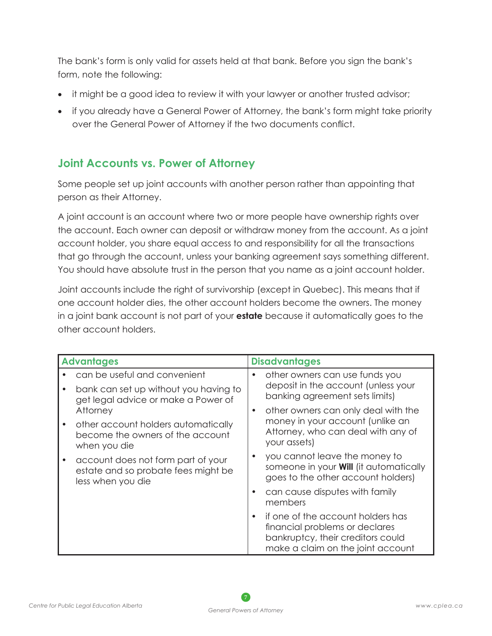The bank's form is only valid for assets held at that bank. Before you sign the bank's form, note the following:

- it might be a good idea to review it with your lawyer or another trusted advisor;
- if you already have a General Power of Attorney, the bank's form might take priority over the General Power of Attorney if the two documents conflict.

### **Joint Accounts vs. Power of Attorney**

Some people set up joint accounts with another person rather than appointing that person as their Attorney.

A joint account is an account where two or more people have ownership rights over the account. Each owner can deposit or withdraw money from the account. As a joint account holder, you share equal access to and responsibility for all the transactions that go through the account, unless your banking agreement says something different. You should have absolute trust in the person that you name as a joint account holder.

Joint accounts include the right of survivorship (except in Quebec). This means that if one account holder dies, the other account holders become the owners. The money in a joint bank account is not part of your **estate** because it automatically goes to the other account holders.

| <b>Advantages</b> |                                                                                                              | <b>Disadvantages</b> |                                                                                                                                               |  |
|-------------------|--------------------------------------------------------------------------------------------------------------|----------------------|-----------------------------------------------------------------------------------------------------------------------------------------------|--|
|                   | can be useful and convenient<br>bank can set up without you having to<br>get legal advice or make a Power of |                      | other owners can use funds you<br>deposit in the account (unless your<br>banking agreement sets limits)                                       |  |
|                   | Attorney<br>other account holders automatically<br>become the owners of the account<br>when you die          |                      | other owners can only deal with the<br>money in your account (unlike an<br>Attorney, who can deal with any of<br>your assets)                 |  |
|                   | account does not form part of your<br>estate and so probate fees might be<br>less when you die               |                      | you cannot leave the money to<br>someone in your <b>Will</b> (it automatically<br>goes to the other account holders)                          |  |
|                   |                                                                                                              |                      | can cause disputes with family<br>members                                                                                                     |  |
|                   |                                                                                                              |                      | if one of the account holders has<br>financial problems or declares<br>bankruptcy, their creditors could<br>make a claim on the joint account |  |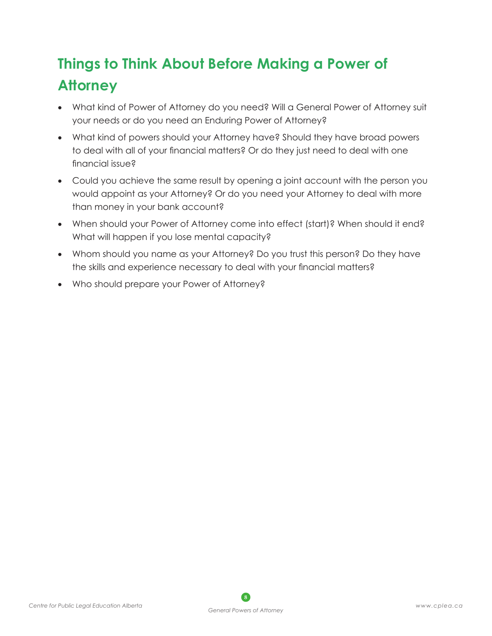## **Things to Think About Before Making a Power of Attorney**

- What kind of Power of Attorney do you need? Will a General Power of Attorney suit your needs or do you need an Enduring Power of Attorney?
- What kind of powers should your Attorney have? Should they have broad powers to deal with all of your financial matters? Or do they just need to deal with one financial issue?
- Could you achieve the same result by opening a joint account with the person you would appoint as your Attorney? Or do you need your Attorney to deal with more than money in your bank account?
- When should your Power of Attorney come into effect (start)? When should it end? What will happen if you lose mental capacity?
- Whom should you name as your Attorney? Do you trust this person? Do they have the skills and experience necessary to deal with your financial matters?
- Who should prepare your Power of Attorney?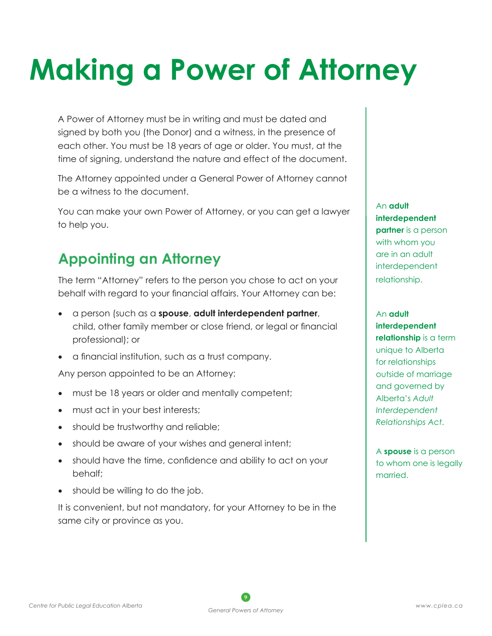# **Making a Power of Attorney**

A Power of Attorney must be in writing and must be dated and signed by both you (the Donor) and a witness, in the presence of each other. You must be 18 years of age or older. You must, at the time of signing, understand the nature and effect of the document.

The Attorney appointed under a General Power of Attorney cannot be a witness to the document.

You can make your own Power of Attorney, or you can get a lawyer to help you.

## **Appointing an Attorney**

The term "Attorney" refers to the person you chose to act on your behalf with regard to your financial affairs. Your Attorney can be:

- a person (such as a **spouse, adult interdependent partner,** child, other family member or close friend, or legal or financial professional); or
- • a financial institution, such as a trust company.

Any person appointed to be an Attorney:

- must be 18 years or older and mentally competent;
- must act in your best interests;
- should be trustworthy and reliable;
- should be aware of your wishes and general intent;
- should have the time, confidence and ability to act on your behalf;
- should be willing to do the job.

It is convenient, but not mandatory, for your Attorney to be in the same city or province as you.

An **adult interdependent partner** is a person with whom you are in an adult interdependent relationship.

#### An **adult interdependent**

**relationship** is a term unique to Alberta for relationships outside of marriage and governed by Alberta's *Adult Interdependent Relationships Act*.

A **spouse** is a person to whom one is legally married.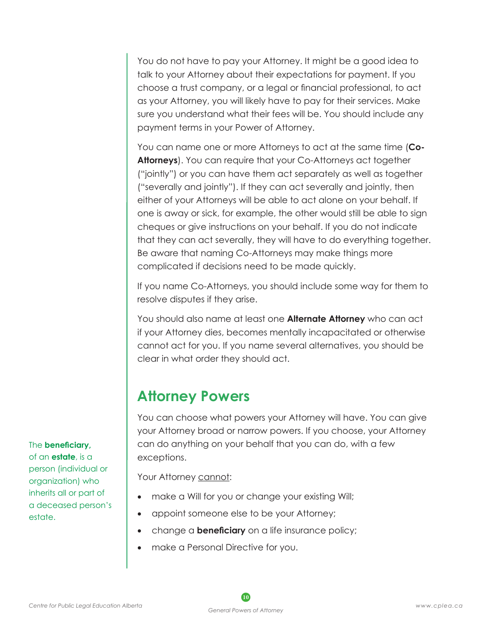You do not have to pay your Attorney. It might be a good idea to talk to your Attorney about their expectations for payment. If you choose a trust company, or a legal or financial professional, to act as your Attorney, you will likely have to pay for their services. Make sure you understand what their fees will be. You should include any payment terms in your Power of Attorney.

You can name one or more Attorneys to act at the same time (**Co-Attorneys**). You can require that your Co-Attorneys act together ("jointly") or you can have them act separately as well as together ("severally and jointly"). If they can act severally and jointly, then either of your Attorneys will be able to act alone on your behalf. If one is away or sick, for example, the other would still be able to sign cheques or give instructions on your behalf. If you do not indicate that they can act severally, they will have to do everything together. Be aware that naming Co-Attorneys may make things more complicated if decisions need to be made quickly.

If you name Co-Attorneys, you should include some way for them to resolve disputes if they arise.

You should also name at least one **Alternate Attorney** who can act if your Attorney dies, becomes mentally incapacitated or otherwise cannot act for you. If you name several alternatives, you should be clear in what order they should act.

## **Attorney Powers**

You can choose what powers your Attorney will have. You can give your Attorney broad or narrow powers. If you choose, your Attorney can do anything on your behalf that you can do, with a few exceptions.

Your Attorney cannot:

- make a Will for you or change your existing Will;
- appoint someone else to be your Attorney;
- change a **beneficiary** on a life insurance policy;
- make a Personal Directive for you.

The **beneficiary,**  of an **estate**, is a person (individual or organization) who inherits all or part of a deceased person's

estate.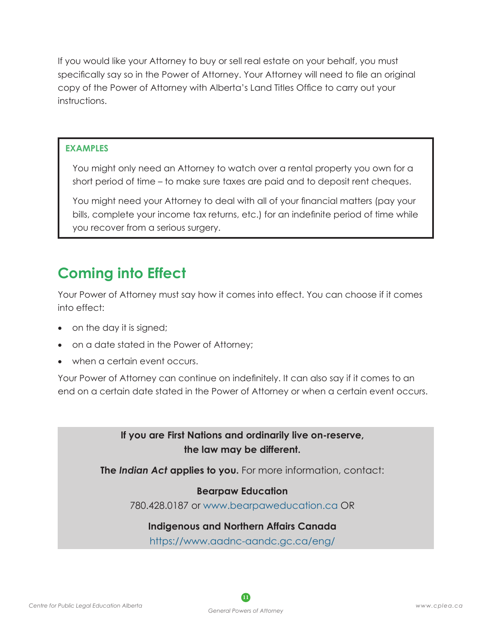If you would like your Attorney to buy or sell real estate on your behalf, you must specifically say so in the Power of Attorney. Your Attorney will need to file an original copy of the Power of Attorney with Alberta's Land Titles Office to carry out your instructions.

#### **EXAMPLES**

You might only need an Attorney to watch over a rental property you own for a short period of time – to make sure taxes are paid and to deposit rent cheques.

You might need your Attorney to deal with all of your financial matters (pay your bills, complete your income tax returns, etc.) for an indefinite period of time while you recover from a serious surgery.

## **Coming into Effect**

Your Power of Attorney must say how it comes into effect. You can choose if it comes into effect:

- on the day it is signed;
- on a date stated in the Power of Attorney;
- when a certain event occurs.

Your Power of Attorney can continue on indefinitely. It can also say if it comes to an end on a certain date stated in the Power of Attorney or when a certain event occurs.

> **If you are First Nations and ordinarily live on-reserve, the law may be different.**

**The** *Indian Act* **applies to you.** For more information, contact:

#### **Bearpaw Education**

780.428.0187 or [www.bearpaweducation.ca](http://www.bearpaweducation.ca) OR

#### **Indigenous and Northern Affairs Canada**

<https://www.aadnc-aandc.gc.ca/eng/>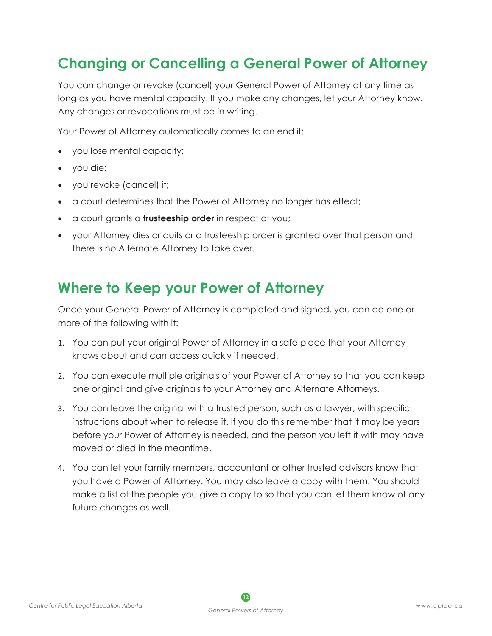## **Changing or Cancelling a General Power of Attorney**

You can change or revoke (cancel) your General Power of Attorney at any time as long as you have mental capacity. If you make any changes, let your Attorney know. Any changes or revocations must be in writing.

Your Power of Attorney automatically comes to an end if:

- you lose mental capacity;
- you die;
- you revoke (cancel) it;
- a court determines that the Power of Attorney no longer has effect;
- • a court grants a **trusteeship order** in respect of you;
- your Attorney dies or quits or a trusteeship order is granted over that person and there is no Alternate Attorney to take over.

## **Where to Keep your Power of Attorney**

Once your General Power of Attorney is completed and signed, you can do one or more of the following with it:

- 1. You can put your original Power of Attorney in a safe place that your Attorney knows about and can access quickly if needed.
- 2. You can execute multiple originals of your Power of Attorney so that you can keep one original and give originals to your Attorney and Alternate Attorneys.
- 3. You can leave the original with a trusted person, such as a lawyer, with specific instructions about when to release it. If you do this remember that it may be years before your Power of Attorney is needed, and the person you left it with may have moved or died in the meantime.
- 4. You can let your family members, accountant or other trusted advisors know that you have a Power of Attorney. You may also leave a copy with them. You should make a list of the people you give a copy to so that you can let them know of any future changes as well.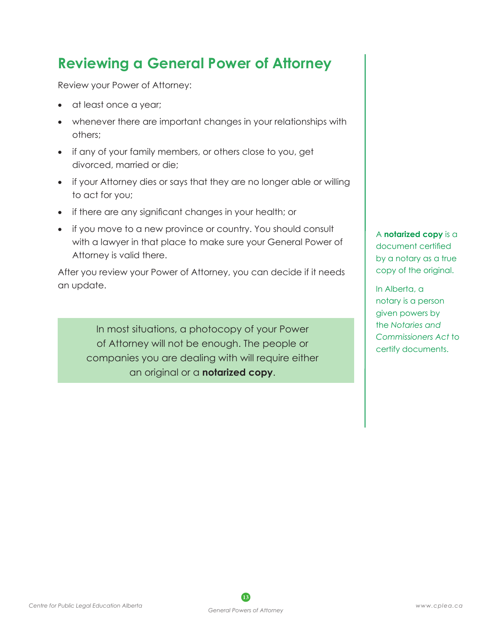## **Reviewing a General Power of Attorney**

Review your Power of Attorney:

- at least once a year;
- whenever there are important changes in your relationships with others;
- if any of your family members, or others close to you, get divorced, married or die;
- if your Attorney dies or says that they are no longer able or willing to act for you;
- if there are any significant changes in your health; or
- if you move to a new province or country. You should consult with a lawyer in that place to make sure your General Power of Attorney is valid there.

After you review your Power of Attorney, you can decide if it needs an update.

In most situations, a photocopy of your Power of Attorney will not be enough. The people or companies you are dealing with will require either an original or a **notarized copy**.

A **notarized copy** is a document certified by a notary as a true copy of the original.

In Alberta, a notary is a person given powers by the *Notaries and Commissioners Act* to certify documents.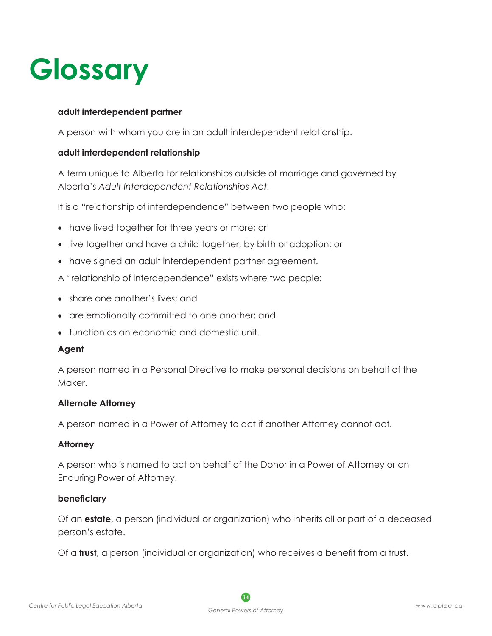# **Glossary**

#### **adult interdependent partner**

A person with whom you are in an adult interdependent relationship.

#### **adult interdependent relationship**

A term unique to Alberta for relationships outside of marriage and governed by Alberta's *Adult Interdependent Relationships Act*.

It is a "relationship of interdependence" between two people who:

- have lived together for three years or more; or
- live together and have a child together, by birth or adoption; or
- have signed an adult interdependent partner agreement.
- A "relationship of interdependence" exists where two people:
- share one another's lives; and
- are emotionally committed to one another; and
- function as an economic and domestic unit.

#### **Agent**

A person named in a Personal Directive to make personal decisions on behalf of the Maker.

#### **Alternate Attorney**

A person named in a Power of Attorney to act if another Attorney cannot act.

#### **Attorney**

A person who is named to act on behalf of the Donor in a Power of Attorney or an Enduring Power of Attorney.

#### **beneficiary**

Of an **estate**, a person (individual or organization) who inherits all or part of a deceased person's estate.

Of a **trust**, a person (individual or organization) who receives a benefit from a trust.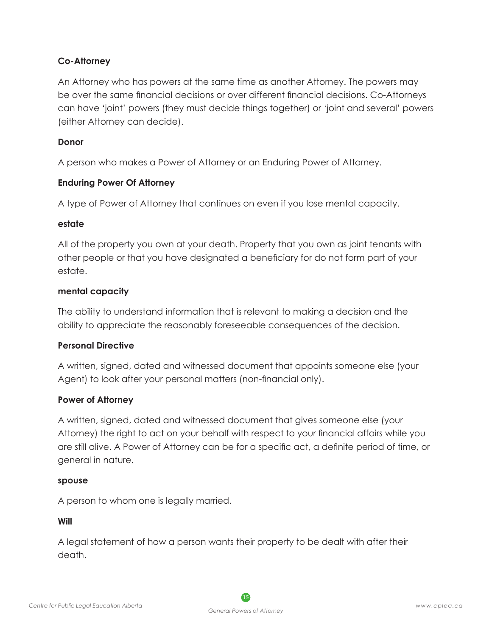#### **Co-Attorney**

An Attorney who has powers at the same time as another Attorney. The powers may be over the same financial decisions or over different financial decisions. Co-Attorneys can have 'joint' powers (they must decide things together) or 'joint and several' powers (either Attorney can decide).

#### **Donor**

A person who makes a Power of Attorney or an Enduring Power of Attorney.

#### **Enduring Power Of Attorney**

A type of Power of Attorney that continues on even if you lose mental capacity.

#### **estate**

All of the property you own at your death. Property that you own as joint tenants with other people or that you have designated a beneficiary for do not form part of your estate.

#### **mental capacity**

The ability to understand information that is relevant to making a decision and the ability to appreciate the reasonably foreseeable consequences of the decision.

#### **Personal Directive**

A written, signed, dated and witnessed document that appoints someone else (your Agent) to look after your personal matters (non-financial only).

#### **Power of Attorney**

A written, signed, dated and witnessed document that gives someone else (your Attorney) the right to act on your behalf with respect to your financial affairs while you are still alive. A Power of Attorney can be for a specific act, a definite period of time, or general in nature.

#### **spouse**

A person to whom one is legally married.

**Will**

A legal statement of how a person wants their property to be dealt with after their death.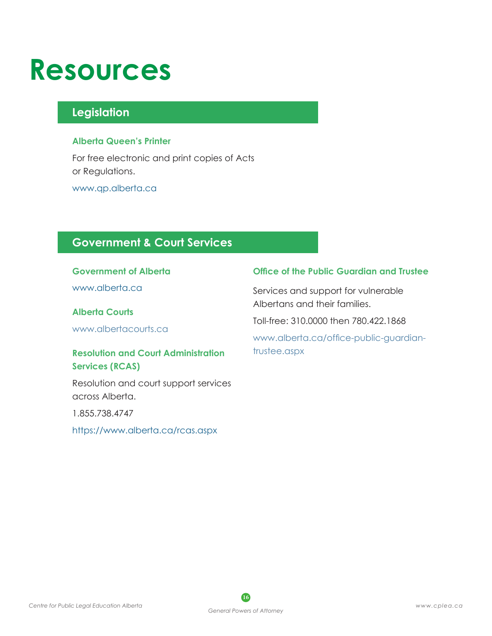# **Resources**

### **Legislation**

#### **Alberta Queen's Printer**

For free electronic and print copies of Acts or Regulations.

[www.qp.alberta.ca](http://www.qp.alberta.ca)

### **Government & Court Services**

#### **Government of Alberta**

[www.alberta.ca](http://www.alberta.ca)

#### **Alberta Courts**

[www.albertacourts.ca](http://www.albertacourts.ca)

#### **Resolution and Court Administration Services (RCAS)**

Resolution and court support services across Alberta.

1.855.738.4747

<https://www.alberta.ca/rcas.aspx>

#### **Office of the Public Guardian and Trustee**

Services and support for vulnerable Albertans and their families.

Toll-free: 310.0000 then 780.422.1868

[www.alberta.ca/office-public-guardian](http://www.alberta.ca/office-public-guardian-trustee.aspx)[trustee.aspx](http://www.alberta.ca/office-public-guardian-trustee.aspx)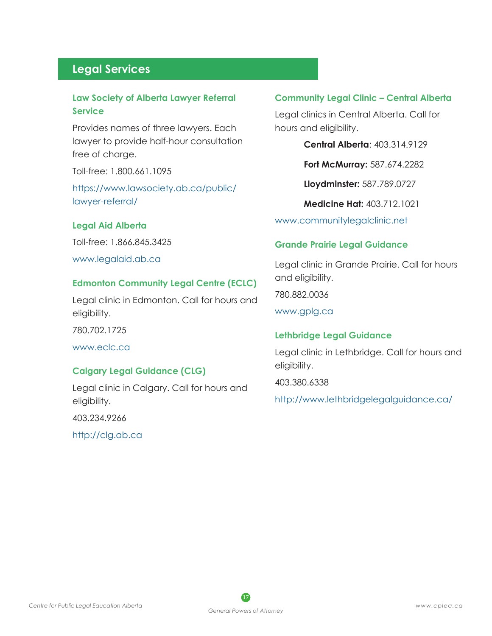### **Legal Services**

#### **Law Society of Alberta Lawyer Referral Service**

Provides names of three lawyers. Each lawyer to provide half-hour consultation free of charge.

Toll-free: 1.800.661.1095

[https://www.lawsociety.ab.ca/public/](https://www.lawsociety.ab.ca/public/lawyer-referral/) [lawyer-referral/](https://www.lawsociety.ab.ca/public/lawyer-referral/)

#### **Legal Aid Alberta**

Toll-free: 1.866.845.3425 [www.legalaid.ab.ca](http://www.legalaid.ab.ca)

#### **Edmonton Community Legal Centre (ECLC)**

Legal clinic in Edmonton. Call for hours and eligibility.

780.702.1725

[www.eclc.ca](http://www.eclc.ca)

#### **Calgary Legal Guidance (CLG)**

Legal clinic in Calgary. Call for hours and eligibility.

403.234.9266

<http://clg.ab.ca>

#### **Community Legal Clinic – Central Alberta**

Legal clinics in Central Alberta. Call for hours and eligibility.

**Central Alberta**: 403.314.9129

**Fort McMurray:** 587.674.2282

**Lloydminster:** 587.789.0727

**Medicine Hat:** 403.712.1021

[www.communitylegalclinic.net](http://www.communitylegalclinic.net)

#### **Grande Prairie Legal Guidance**

Legal clinic in Grande Prairie. Call for hours and eligibility.

780.882.0036

[www.gplg.ca](http://www.gplg.ca)

#### **Lethbridge Legal Guidance**

Legal clinic in Lethbridge. Call for hours and eligibility.

403.380.6338

<http://www.lethbridgelegalguidance.ca/>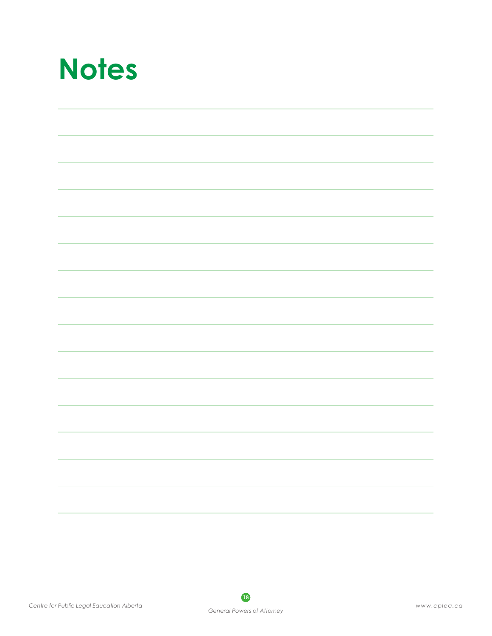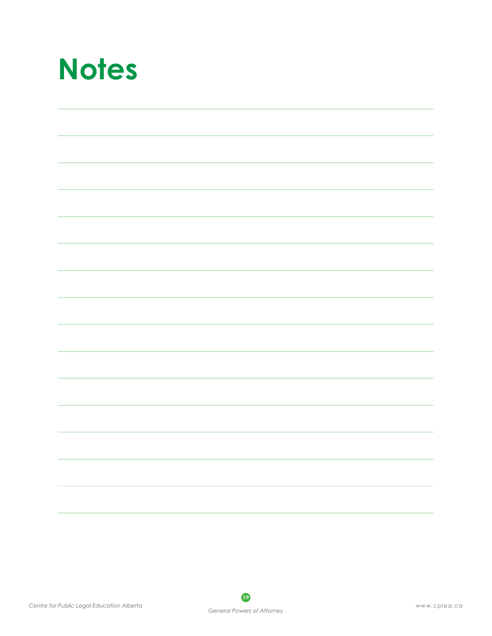